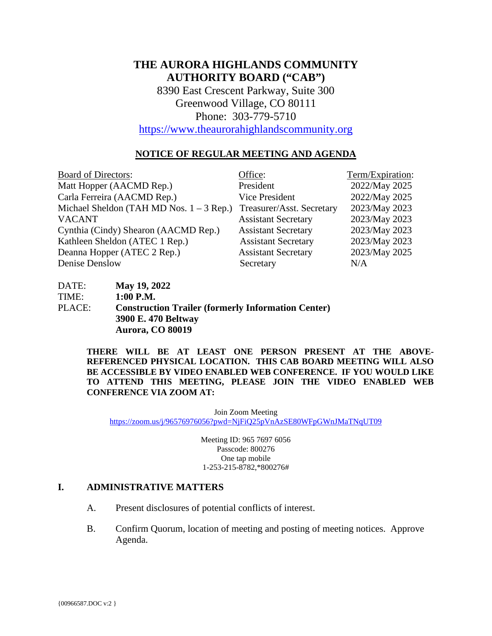# **THE AURORA HIGHLANDS COMMUNITY AUTHORITY BOARD ("CAB")**

8390 East Crescent Parkway, Suite 300 Greenwood Village, CO 80111 Phone: 303-779-5710

[https://www.theaurorahighlandscommunity.org](https://www.theaurorahighlandscommunity.org/)

### **NOTICE OF REGULAR MEETING AND AGENDA**

| <b>Board of Directors:</b>                 | Office:                    | Term/Expiration: |
|--------------------------------------------|----------------------------|------------------|
| Matt Hopper (AACMD Rep.)                   | President                  | 2022/May 2025    |
| Carla Ferreira (AACMD Rep.)                | Vice President             | 2022/May 2025    |
| Michael Sheldon (TAH MD Nos. $1 - 3$ Rep.) | Treasurer/Asst. Secretary  | 2023/May 2023    |
| <b>VACANT</b>                              | <b>Assistant Secretary</b> | 2023/May 2023    |
| Cynthia (Cindy) Shearon (AACMD Rep.)       | <b>Assistant Secretary</b> | 2023/May 2023    |
| Kathleen Sheldon (ATEC 1 Rep.)             | <b>Assistant Secretary</b> | 2023/May 2023    |
| Deanna Hopper (ATEC 2 Rep.)                | <b>Assistant Secretary</b> | 2023/May 2025    |
| Denise Denslow                             | Secretary                  | N/A              |

DATE: **May 19, 2022** TIME: **1:00 P.M.** PLACE: **Construction Trailer (formerly Information Center) 3900 E. 470 Beltway Aurora, CO 80019** 

> **THERE WILL BE AT LEAST ONE PERSON PRESENT AT THE ABOVE-REFERENCED PHYSICAL LOCATION. THIS CAB BOARD MEETING WILL ALSO BE ACCESSIBLE BY VIDEO ENABLED WEB CONFERENCE. IF YOU WOULD LIKE TO ATTEND THIS MEETING, PLEASE JOIN THE VIDEO ENABLED WEB CONFERENCE VIA ZOOM AT:**

Join Zoom Meeting <https://zoom.us/j/96576976056?pwd=NjFiQ25pVnAzSE80WFpGWnJMaTNqUT09>

> Meeting ID: 965 7697 6056 Passcode: 800276 One tap mobile 1-253-215-8782,\*800276#

#### **I. ADMINISTRATIVE MATTERS**

- A. Present disclosures of potential conflicts of interest.
- B. Confirm Quorum, location of meeting and posting of meeting notices. Approve Agenda.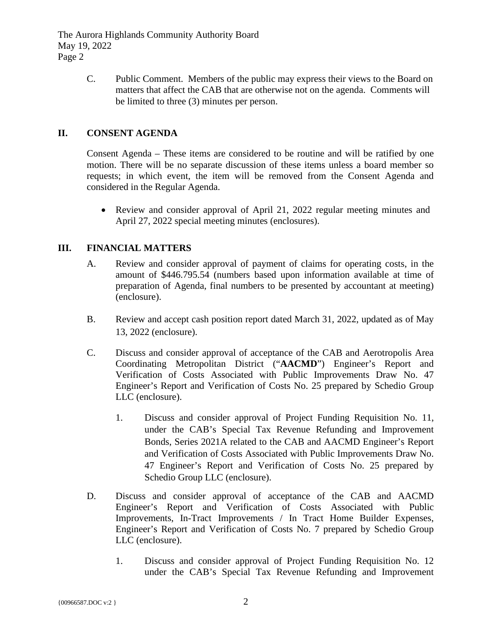The Aurora Highlands Community Authority Board May 19, 2022 Page 2

> C. Public Comment. Members of the public may express their views to the Board on matters that affect the CAB that are otherwise not on the agenda. Comments will be limited to three (3) minutes per person.

### **II. CONSENT AGENDA**

Consent Agenda – These items are considered to be routine and will be ratified by one motion. There will be no separate discussion of these items unless a board member so requests; in which event, the item will be removed from the Consent Agenda and considered in the Regular Agenda.

• Review and consider approval of April 21, 2022 regular meeting minutes and April 27, 2022 special meeting minutes (enclosures).

### **III. FINANCIAL MATTERS**

- A. Review and consider approval of payment of claims for operating costs, in the amount of \$446.795.54 (numbers based upon information available at time of preparation of Agenda, final numbers to be presented by accountant at meeting) (enclosure).
- B. Review and accept cash position report dated March 31, 2022, updated as of May 13, 2022 (enclosure).
- C. Discuss and consider approval of acceptance of the CAB and Aerotropolis Area Coordinating Metropolitan District ("**AACMD**") Engineer's Report and Verification of Costs Associated with Public Improvements Draw No. 47 Engineer's Report and Verification of Costs No. 25 prepared by Schedio Group LLC (enclosure).
	- 1. Discuss and consider approval of Project Funding Requisition No. 11, under the CAB's Special Tax Revenue Refunding and Improvement Bonds, Series 2021A related to the CAB and AACMD Engineer's Report and Verification of Costs Associated with Public Improvements Draw No. 47 Engineer's Report and Verification of Costs No. 25 prepared by Schedio Group LLC (enclosure).
- D. Discuss and consider approval of acceptance of the CAB and AACMD Engineer's Report and Verification of Costs Associated with Public Improvements, In-Tract Improvements / In Tract Home Builder Expenses, Engineer's Report and Verification of Costs No. 7 prepared by Schedio Group LLC (enclosure).
	- 1. Discuss and consider approval of Project Funding Requisition No. 12 under the CAB's Special Tax Revenue Refunding and Improvement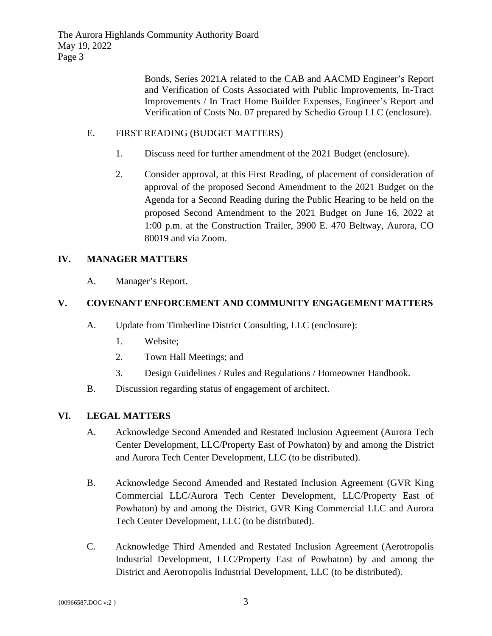Bonds, Series 2021A related to the CAB and AACMD Engineer's Report and Verification of Costs Associated with Public Improvements, In-Tract Improvements / In Tract Home Builder Expenses, Engineer's Report and Verification of Costs No. 07 prepared by Schedio Group LLC (enclosure).

### E. FIRST READING (BUDGET MATTERS)

- 1. Discuss need for further amendment of the 2021 Budget (enclosure).
- 2. Consider approval, at this First Reading, of placement of consideration of approval of the proposed Second Amendment to the 2021 Budget on the Agenda for a Second Reading during the Public Hearing to be held on the proposed Second Amendment to the 2021 Budget on June 16, 2022 at 1:00 p.m. at the Construction Trailer, 3900 E. 470 Beltway, Aurora, CO 80019 and via Zoom.

# **IV. MANAGER MATTERS**

A. Manager's Report.

# **V. COVENANT ENFORCEMENT AND COMMUNITY ENGAGEMENT MATTERS**

- A. Update from Timberline District Consulting, LLC (enclosure):
	- 1. Website;
	- 2. Town Hall Meetings; and
	- 3. Design Guidelines / Rules and Regulations / Homeowner Handbook.
- B. Discussion regarding status of engagement of architect.

### **VI. LEGAL MATTERS**

- A. Acknowledge Second Amended and Restated Inclusion Agreement (Aurora Tech Center Development, LLC/Property East of Powhaton) by and among the District and Aurora Tech Center Development, LLC (to be distributed).
- B. Acknowledge Second Amended and Restated Inclusion Agreement (GVR King Commercial LLC/Aurora Tech Center Development, LLC/Property East of Powhaton) by and among the District, GVR King Commercial LLC and Aurora Tech Center Development, LLC (to be distributed).
- C. Acknowledge Third Amended and Restated Inclusion Agreement (Aerotropolis Industrial Development, LLC/Property East of Powhaton) by and among the District and Aerotropolis Industrial Development, LLC (to be distributed).